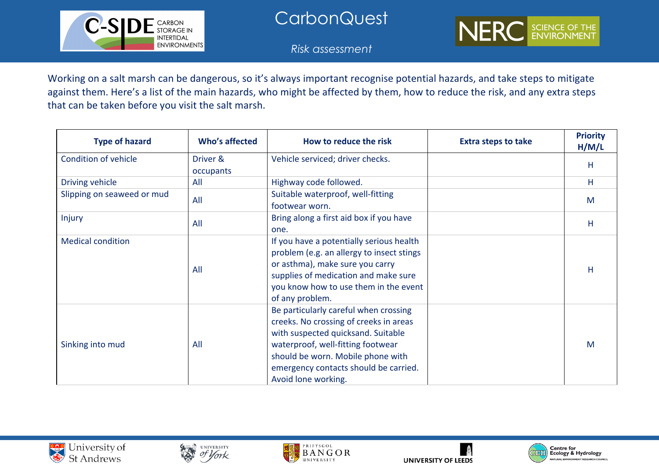

## **CarbonQuest**

*Risk assessment*

Working on a salt marsh can be dangerous, so it's always important recognise potential hazards, and take steps to mitigate against them. Here's a list of the main hazards, who might be affected by them, how to reduce the risk, and any extra steps that can be taken before you visit the salt marsh.

| <b>Type of hazard</b>      | Who's affected        | How to reduce the risk                                                                                                                                                                                                                                          | <b>Extra steps to take</b> | <b>Priority</b><br>H/M/L |
|----------------------------|-----------------------|-----------------------------------------------------------------------------------------------------------------------------------------------------------------------------------------------------------------------------------------------------------------|----------------------------|--------------------------|
| Condition of vehicle       | Driver &<br>occupants | Vehicle serviced; driver checks.                                                                                                                                                                                                                                |                            | Н                        |
| Driving vehicle            | All                   | Highway code followed.                                                                                                                                                                                                                                          |                            | H                        |
| Slipping on seaweed or mud | All                   | Suitable waterproof, well-fitting<br>footwear worn.                                                                                                                                                                                                             |                            | M                        |
| Injury                     | All                   | Bring along a first aid box if you have<br>one.                                                                                                                                                                                                                 |                            | Η                        |
| <b>Medical condition</b>   | All                   | If you have a potentially serious health<br>problem (e.g. an allergy to insect stings<br>or asthma), make sure you carry<br>supplies of medication and make sure<br>you know how to use them in the event<br>of any problem.                                    |                            | H                        |
| Sinking into mud           | All                   | Be particularly careful when crossing<br>creeks. No crossing of creeks in areas<br>with suspected quicksand. Suitable<br>waterproof, well-fitting footwear<br>should be worn. Mobile phone with<br>emergency contacts should be carried.<br>Avoid lone working. |                            | M                        |









NERC

SCIENCE OF THE<br>ENVIRONMENT

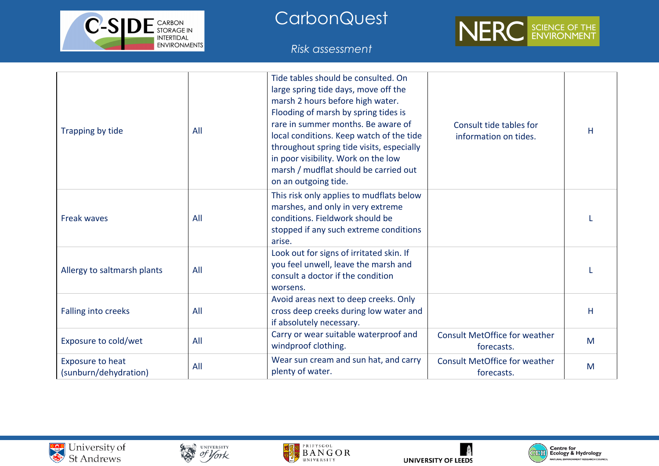

**CarbonQuest** 

*Risk assessment*



| Trapping by tide                                 | All | Tide tables should be consulted. On<br>large spring tide days, move off the<br>marsh 2 hours before high water.<br>Flooding of marsh by spring tides is<br>rare in summer months. Be aware of<br>local conditions. Keep watch of the tide<br>throughout spring tide visits, especially<br>in poor visibility. Work on the low<br>marsh / mudflat should be carried out<br>on an outgoing tide. | Consult tide tables for<br>information on tides.   | н |
|--------------------------------------------------|-----|------------------------------------------------------------------------------------------------------------------------------------------------------------------------------------------------------------------------------------------------------------------------------------------------------------------------------------------------------------------------------------------------|----------------------------------------------------|---|
| <b>Freak waves</b>                               | All | This risk only applies to mudflats below<br>marshes, and only in very extreme<br>conditions. Fieldwork should be<br>stopped if any such extreme conditions<br>arise.                                                                                                                                                                                                                           |                                                    |   |
| Allergy to saltmarsh plants                      | All | Look out for signs of irritated skin. If<br>you feel unwell, leave the marsh and<br>consult a doctor if the condition<br>worsens.                                                                                                                                                                                                                                                              |                                                    |   |
| Falling into creeks                              | All | Avoid areas next to deep creeks. Only<br>cross deep creeks during low water and<br>if absolutely necessary.                                                                                                                                                                                                                                                                                    |                                                    | H |
| Exposure to cold/wet                             | All | Carry or wear suitable waterproof and<br>windproof clothing.                                                                                                                                                                                                                                                                                                                                   | <b>Consult MetOffice for weather</b><br>forecasts. | M |
| <b>Exposure to heat</b><br>(sunburn/dehydration) | All | Wear sun cream and sun hat, and carry<br>plenty of water.                                                                                                                                                                                                                                                                                                                                      | <b>Consult MetOffice for weather</b><br>forecasts. | M |